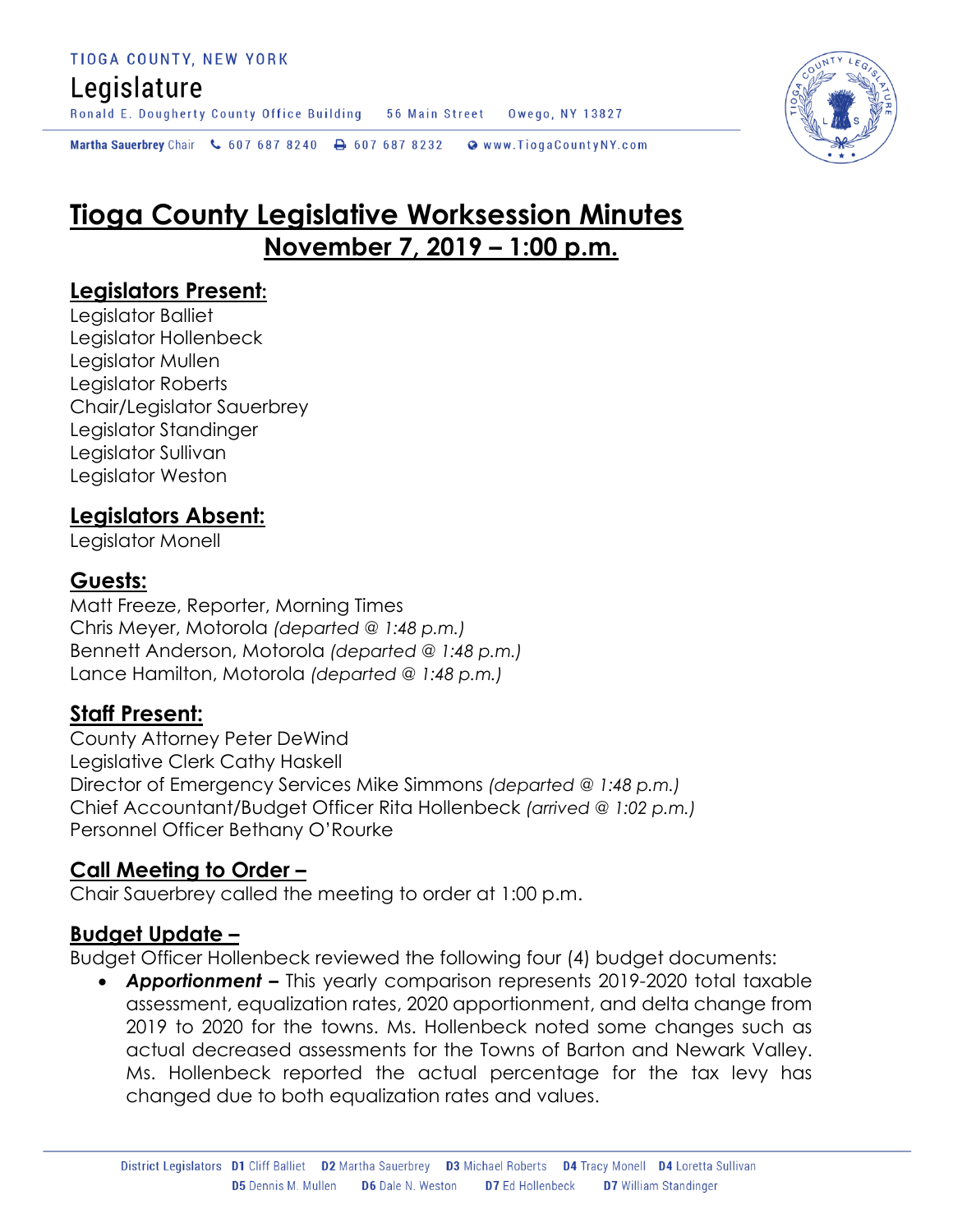## Legislature

Ronald E. Dougherty County Office Building 56 Main Street Owego, NY 13827

Martha Sauerbrey Chair & 607 687 8240 <a>B</a>607 687 8232 <a>B</a>Www.TiogaCountyNY.com

# **Tioga County Legislative Worksession Minutes November 7, 2019 – 1:00 p.m.**

#### **Legislators Present:**

Legislator Balliet Legislator Hollenbeck Legislator Mullen Legislator Roberts Chair/Legislator Sauerbrey Legislator Standinger Legislator Sullivan Legislator Weston

### **Legislators Absent:**

Legislator Monell

#### **Guests:**

Matt Freeze, Reporter, Morning Times Chris Meyer, Motorola *(departed @ 1:48 p.m.)* Bennett Anderson, Motorola *(departed @ 1:48 p.m.)* Lance Hamilton, Motorola *(departed @ 1:48 p.m.)*

#### **Staff Present:**

County Attorney Peter DeWind Legislative Clerk Cathy Haskell Director of Emergency Services Mike Simmons *(departed @ 1:48 p.m.)* Chief Accountant/Budget Officer Rita Hollenbeck *(arrived @ 1:02 p.m.)* Personnel Officer Bethany O'Rourke

#### **Call Meeting to Order –**

Chair Sauerbrey called the meeting to order at 1:00 p.m.

#### **Budget Update –**

Budget Officer Hollenbeck reviewed the following four (4) budget documents:

 *Apportionment –* This yearly comparison represents 2019-2020 total taxable assessment, equalization rates, 2020 apportionment, and delta change from 2019 to 2020 for the towns. Ms. Hollenbeck noted some changes such as actual decreased assessments for the Towns of Barton and Newark Valley. Ms. Hollenbeck reported the actual percentage for the tax levy has changed due to both equalization rates and values.

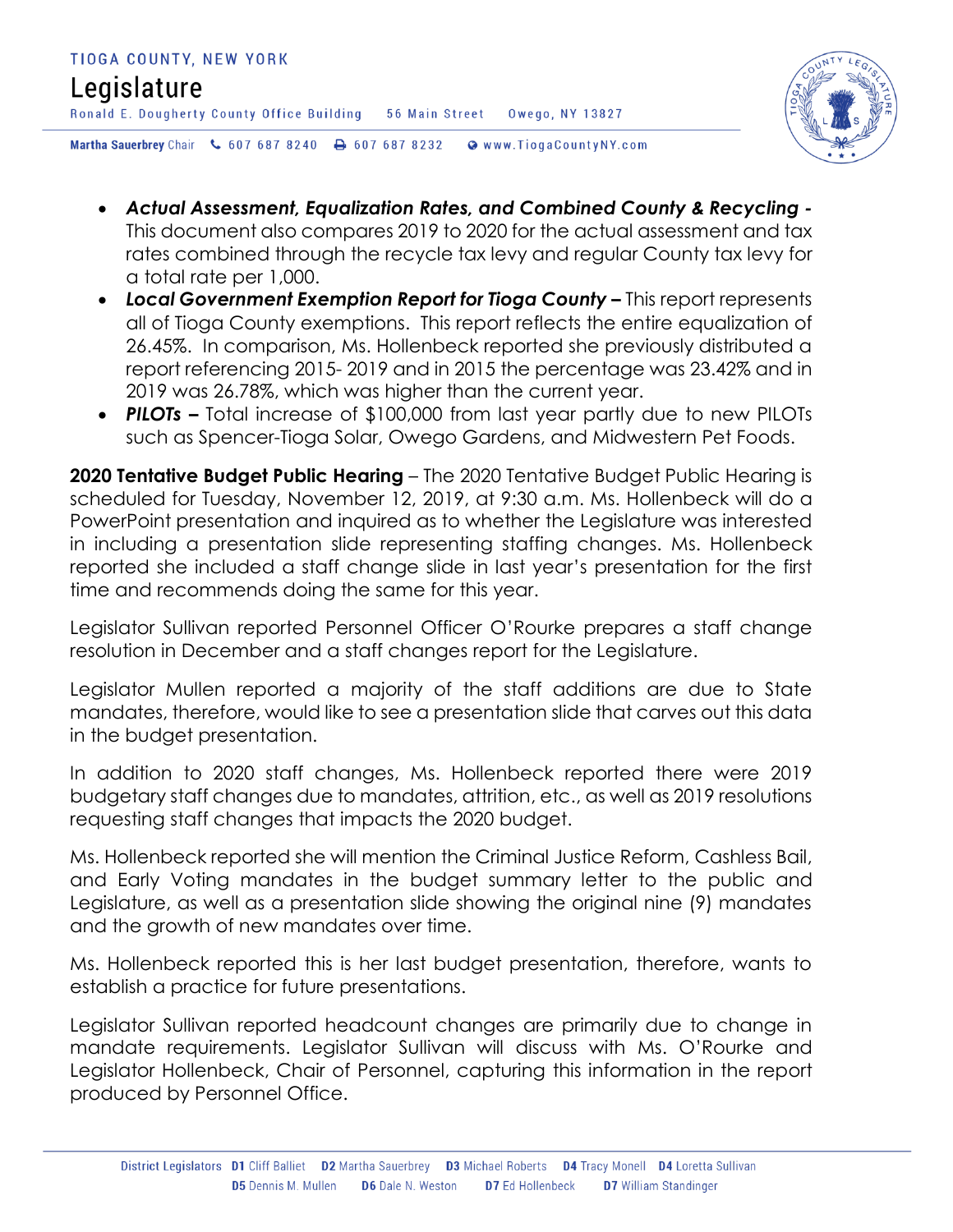

- *Actual Assessment, Equalization Rates, and Combined County & Recycling -* This document also compares 2019 to 2020 for the actual assessment and tax rates combined through the recycle tax levy and regular County tax levy for a total rate per 1,000.
- Local Government Exemption Report for Tioga County This report represents all of Tioga County exemptions. This report reflects the entire equalization of 26.45%. In comparison, Ms. Hollenbeck reported she previously distributed a report referencing 2015- 2019 and in 2015 the percentage was 23.42% and in 2019 was 26.78%, which was higher than the current year.
- *PILOTs –* Total increase of \$100,000 from last year partly due to new PILOTs such as Spencer-Tioga Solar, Owego Gardens, and Midwestern Pet Foods.

**2020 Tentative Budget Public Hearing** – The 2020 Tentative Budget Public Hearing is scheduled for Tuesday, November 12, 2019, at 9:30 a.m. Ms. Hollenbeck will do a PowerPoint presentation and inquired as to whether the Legislature was interested in including a presentation slide representing staffing changes. Ms. Hollenbeck reported she included a staff change slide in last year's presentation for the first time and recommends doing the same for this year.

Legislator Sullivan reported Personnel Officer O'Rourke prepares a staff change resolution in December and a staff changes report for the Legislature.

Legislator Mullen reported a majority of the staff additions are due to State mandates, therefore, would like to see a presentation slide that carves out this data in the budget presentation.

In addition to 2020 staff changes, Ms. Hollenbeck reported there were 2019 budgetary staff changes due to mandates, attrition, etc., as well as 2019 resolutions requesting staff changes that impacts the 2020 budget.

Ms. Hollenbeck reported she will mention the Criminal Justice Reform, Cashless Bail, and Early Voting mandates in the budget summary letter to the public and Legislature, as well as a presentation slide showing the original nine (9) mandates and the growth of new mandates over time.

Ms. Hollenbeck reported this is her last budget presentation, therefore, wants to establish a practice for future presentations.

Legislator Sullivan reported headcount changes are primarily due to change in mandate requirements. Legislator Sullivan will discuss with Ms. O'Rourke and Legislator Hollenbeck, Chair of Personnel, capturing this information in the report produced by Personnel Office.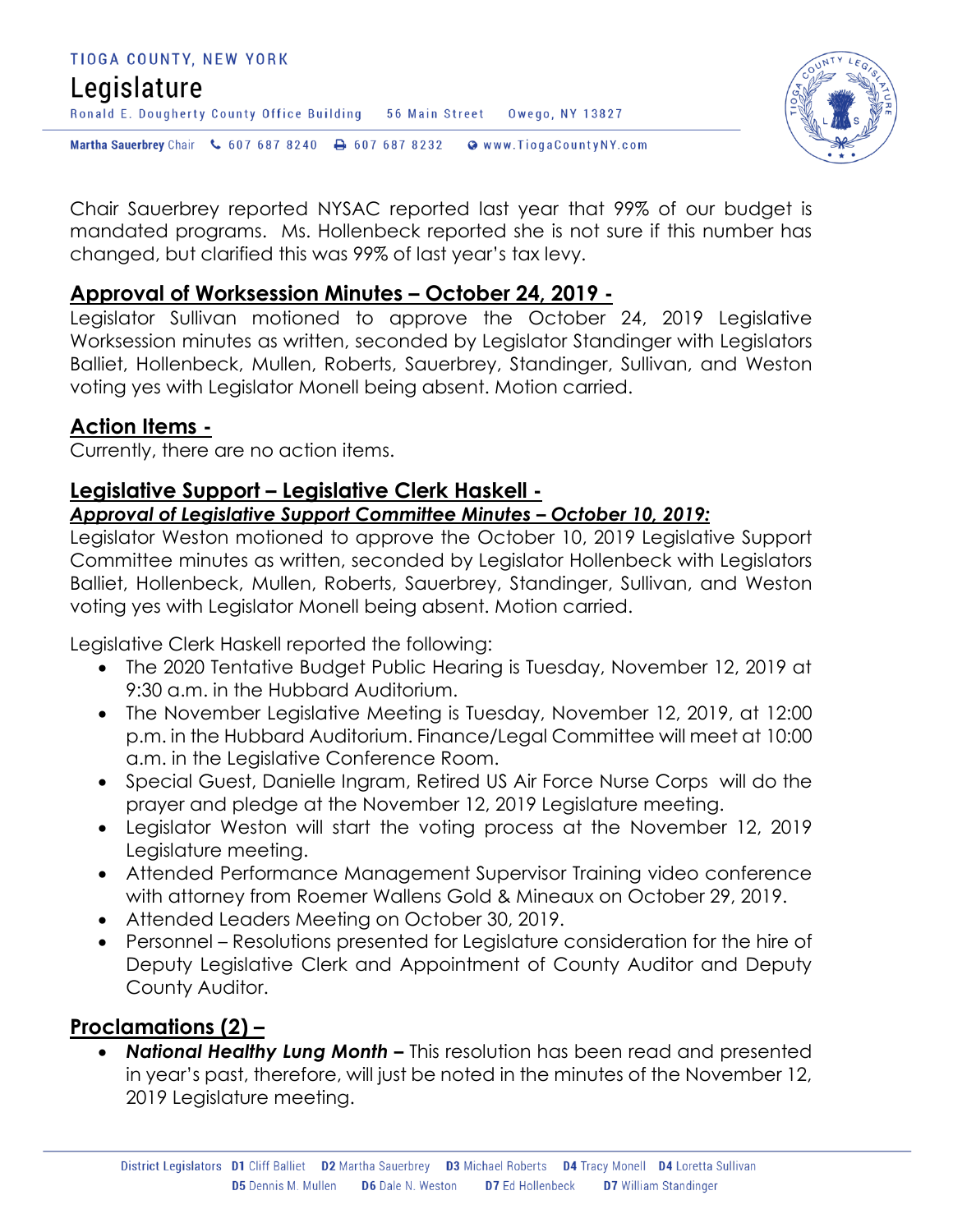



Chair Sauerbrey reported NYSAC reported last year that 99% of our budget is mandated programs. Ms. Hollenbeck reported she is not sure if this number has changed, but clarified this was 99% of last year's tax levy.

#### **Approval of Worksession Minutes – October 24, 2019 -**

Legislator Sullivan motioned to approve the October 24, 2019 Legislative Worksession minutes as written, seconded by Legislator Standinger with Legislators Balliet, Hollenbeck, Mullen, Roberts, Sauerbrey, Standinger, Sullivan, and Weston voting yes with Legislator Monell being absent. Motion carried.

#### **Action Items -**

Currently, there are no action items.

### **Legislative Support – Legislative Clerk Haskell -**

#### *Approval of Legislative Support Committee Minutes – October 10, 2019:*

Legislator Weston motioned to approve the October 10, 2019 Legislative Support Committee minutes as written, seconded by Legislator Hollenbeck with Legislators Balliet, Hollenbeck, Mullen, Roberts, Sauerbrey, Standinger, Sullivan, and Weston voting yes with Legislator Monell being absent. Motion carried.

Legislative Clerk Haskell reported the following:

- The 2020 Tentative Budget Public Hearing is Tuesday, November 12, 2019 at 9:30 a.m. in the Hubbard Auditorium.
- The November Legislative Meeting is Tuesday, November 12, 2019, at 12:00 p.m. in the Hubbard Auditorium. Finance/Legal Committee will meet at 10:00 a.m. in the Legislative Conference Room.
- Special Guest, Danielle Ingram, Retired US Air Force Nurse Corps will do the prayer and pledge at the November 12, 2019 Legislature meeting.
- Legislator Weston will start the voting process at the November 12, 2019 Legislature meeting.
- Attended Performance Management Supervisor Training video conference with attorney from Roemer Wallens Gold & Mineaux on October 29, 2019.
- Attended Leaders Meeting on October 30, 2019.
- Personnel Resolutions presented for Legislature consideration for the hire of Deputy Legislative Clerk and Appointment of County Auditor and Deputy County Auditor.

#### **Proclamations (2) –**

 *National Healthy Lung Month –* This resolution has been read and presented in year's past, therefore, will just be noted in the minutes of the November 12, 2019 Legislature meeting.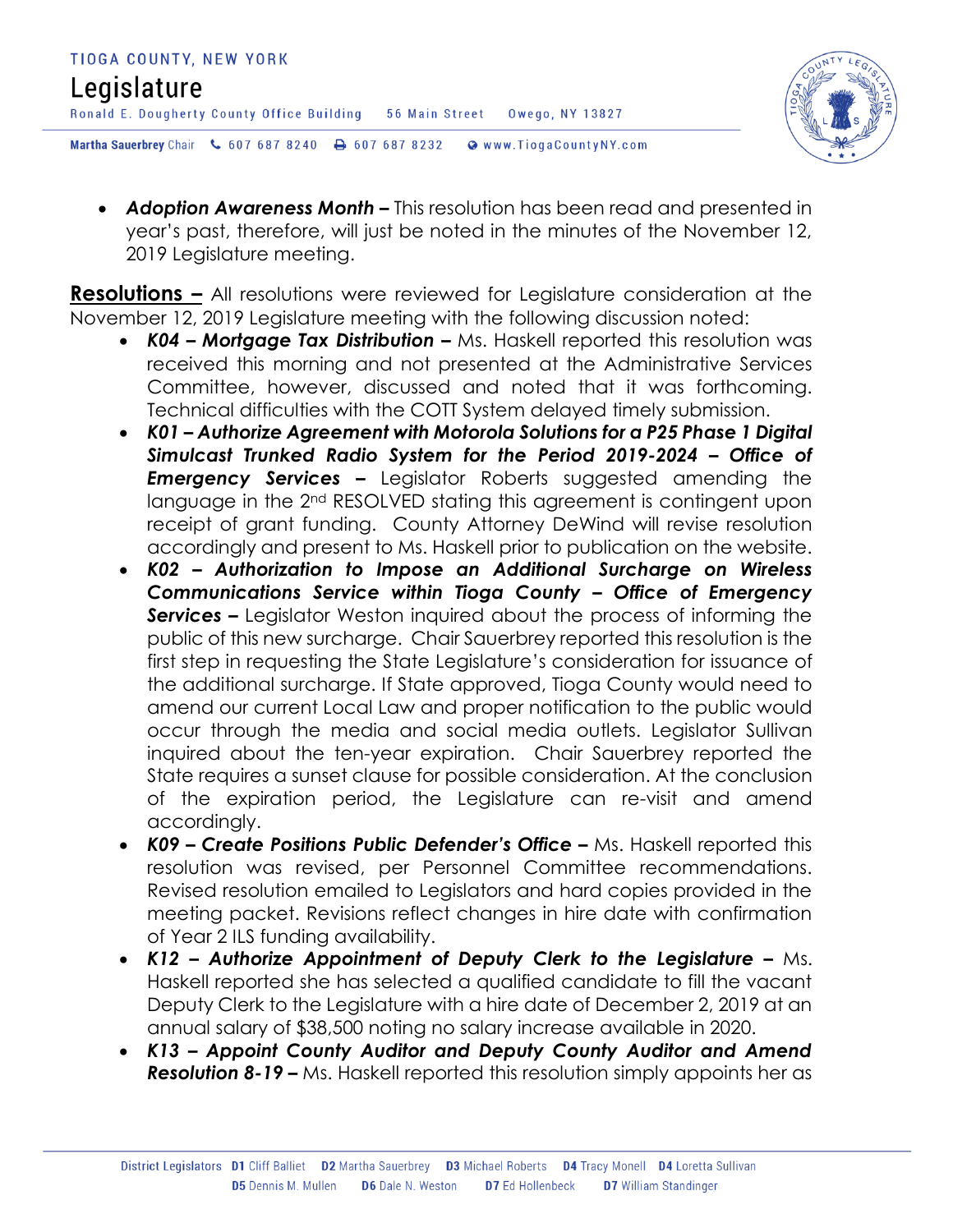

 *Adoption Awareness Month –* This resolution has been read and presented in year's past, therefore, will just be noted in the minutes of the November 12, 2019 Legislature meeting.

**Resolutions –** All resolutions were reviewed for Legislature consideration at the November 12, 2019 Legislature meeting with the following discussion noted:

- **K04 Mortgage Tax Distribution –** Ms. Haskell reported this resolution was received this morning and not presented at the Administrative Services Committee, however, discussed and noted that it was forthcoming. Technical difficulties with the COTT System delayed timely submission.
- *K01 – Authorize Agreement with Motorola Solutions for a P25 Phase 1 Digital Simulcast Trunked Radio System for the Period 2019-2024 – Office of Emergency Services –* Legislator Roberts suggested amending the language in the 2nd RESOLVED stating this agreement is contingent upon receipt of grant funding. County Attorney DeWind will revise resolution accordingly and present to Ms. Haskell prior to publication on the website.
- *K02 – Authorization to Impose an Additional Surcharge on Wireless Communications Service within Tioga County – Office of Emergency Services –* Legislator Weston inquired about the process of informing the public of this new surcharge. Chair Sauerbrey reported this resolution is the first step in requesting the State Legislature's consideration for issuance of the additional surcharge. If State approved, Tioga County would need to amend our current Local Law and proper notification to the public would occur through the media and social media outlets. Legislator Sullivan inquired about the ten-year expiration.Chair Sauerbrey reported the State requires a sunset clause for possible consideration. At the conclusion of the expiration period, the Legislature can re-visit and amend accordingly.
- *K09 – Create Positions Public Defender's Office –* Ms. Haskell reported this resolution was revised, per Personnel Committee recommendations. Revised resolution emailed to Legislators and hard copies provided in the meeting packet. Revisions reflect changes in hire date with confirmation of Year 2 ILS funding availability.
- *K12 – Authorize Appointment of Deputy Clerk to the Legislature –* Ms. Haskell reported she has selected a qualified candidate to fill the vacant Deputy Clerk to the Legislature with a hire date of December 2, 2019 at an annual salary of \$38,500 noting no salary increase available in 2020.
- *K13 – Appoint County Auditor and Deputy County Auditor and Amend Resolution 8-19 –* Ms. Haskell reported this resolution simply appoints her as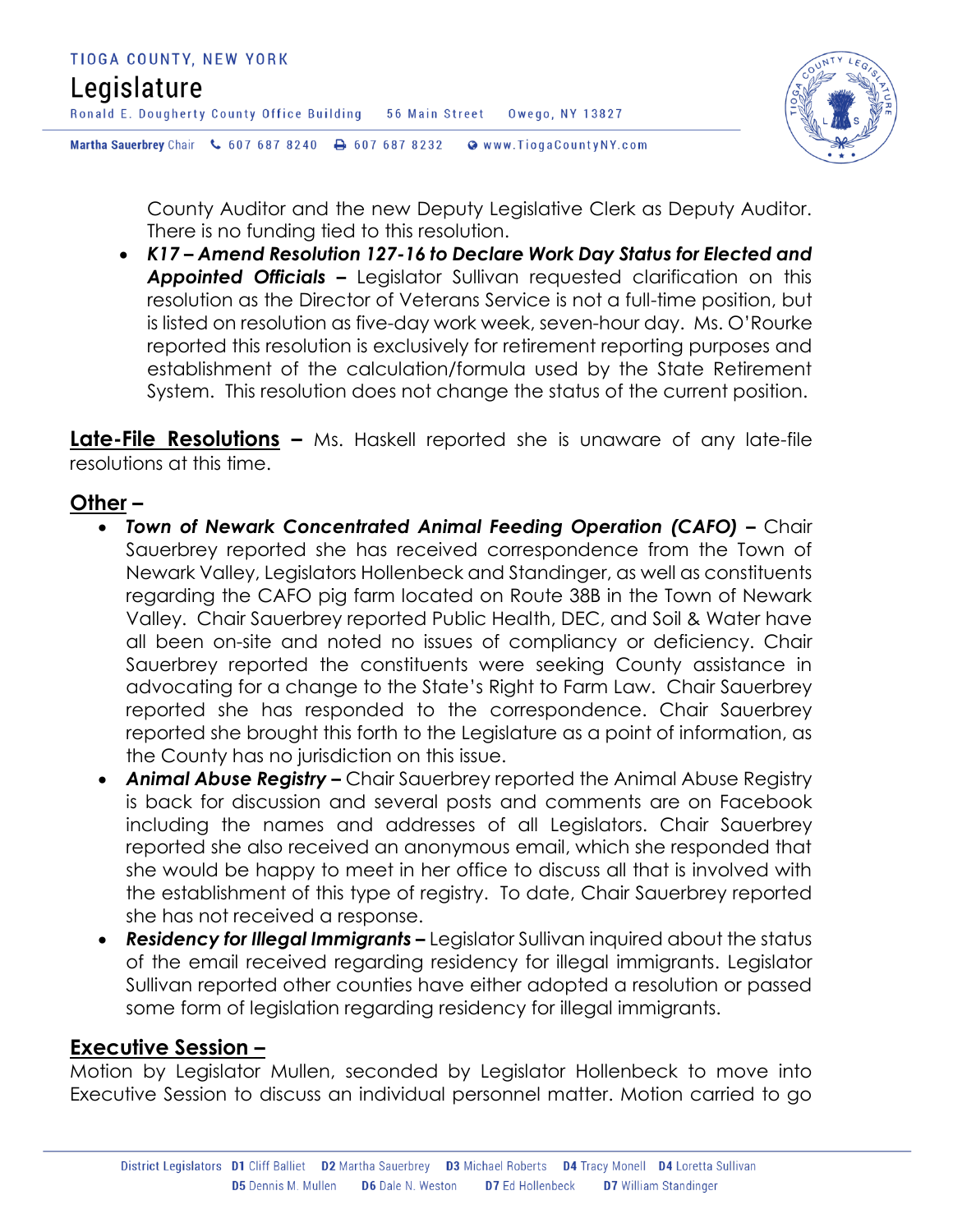

County Auditor and the new Deputy Legislative Clerk as Deputy Auditor. There is no funding tied to this resolution.

 *K17 – Amend Resolution 127-16 to Declare Work Day Status for Elected and Appointed Officials –* Legislator Sullivan requested clarification on this resolution as the Director of Veterans Service is not a full-time position, but is listed on resolution as five-day work week, seven-hour day. Ms. O'Rourke reported this resolution is exclusively for retirement reporting purposes and establishment of the calculation/formula used by the State Retirement System. This resolution does not change the status of the current position.

**Late-File Resolutions –** Ms. Haskell reported she is unaware of any late-file resolutions at this time.

#### **Other –**

- *Town of Newark Concentrated Animal Feeding Operation (CAFO) Chair* Sauerbrey reported she has received correspondence from the Town of Newark Valley, Legislators Hollenbeck and Standinger, as well as constituents regarding the CAFO pig farm located on Route 38B in the Town of Newark Valley. Chair Sauerbrey reported Public Health, DEC, and Soil & Water have all been on-site and noted no issues of compliancy or deficiency. Chair Sauerbrey reported the constituents were seeking County assistance in advocating for a change to the State's Right to Farm Law. Chair Sauerbrey reported she has responded to the correspondence. Chair Sauerbrey reported she brought this forth to the Legislature as a point of information, as the County has no jurisdiction on this issue.
- *Animal Abuse Registry –* Chair Sauerbrey reported the Animal Abuse Registry is back for discussion and several posts and comments are on Facebook including the names and addresses of all Legislators. Chair Sauerbrey reported she also received an anonymous email, which she responded that she would be happy to meet in her office to discuss all that is involved with the establishment of this type of registry. To date, Chair Sauerbrey reported she has not received a response.
- *Residency for Illegal Immigrants –* Legislator Sullivan inquired about the status of the email received regarding residency for illegal immigrants. Legislator Sullivan reported other counties have either adopted a resolution or passed some form of legislation regarding residency for illegal immigrants.

#### **Executive Session –**

Motion by Legislator Mullen, seconded by Legislator Hollenbeck to move into Executive Session to discuss an individual personnel matter. Motion carried to go